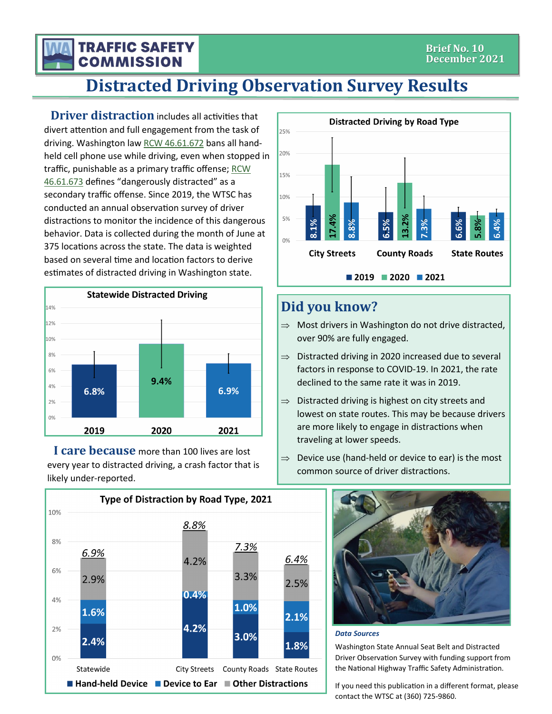### **TRAFFIC SAFETY COMMISSION**

# **Distracted Driving Observation Survey Results**

**Driver distraction** includes all activities that divert attention and full engagement from the task of driving. Washington law [RCW 46.61.672](http://app.leg.wa.gov/RCW/default.aspx?cite=46.61.672) bans all handheld cell phone use while driving, even when stopped in traffic, punishable as a primary traffic offense; [RCW](http://app.leg.wa.gov/RCW/default.aspx?cite=46.61.673)  [46.61.673](http://app.leg.wa.gov/RCW/default.aspx?cite=46.61.673) defines "dangerously distracted" as a secondary traffic offense. Since 2019, the WTSC has conducted an annual observation survey of driver distractions to monitor the incidence of this dangerous behavior. Data is collected during the month of June at 375 locations across the state. The data is weighted based on several time and location factors to derive estimates of distracted driving in Washington state.



**I care because** more than 100 lives are lost every year to distracted driving, a crash factor that is likely under-reported.





## **Did you know?**

- $\Rightarrow$  Most drivers in Washington do not drive distracted, over 90% are fully engaged.
- $\Rightarrow$  Distracted driving in 2020 increased due to several factors in response to COVID-19. In 2021, the rate declined to the same rate it was in 2019.
- $\Rightarrow$  Distracted driving is highest on city streets and lowest on state routes. This may be because drivers are more likely to engage in distractions when traveling at lower speeds.
- $\Rightarrow$  Device use (hand-held or device to ear) is the most common source of driver distractions.



#### *Data Sources*

Washington State Annual Seat Belt and Distracted Driver Observation Survey with funding support from the National Highway Traffic Safety Administration.

If you need this publication in a different format, please contact the WTSC at (360) 725-9860.